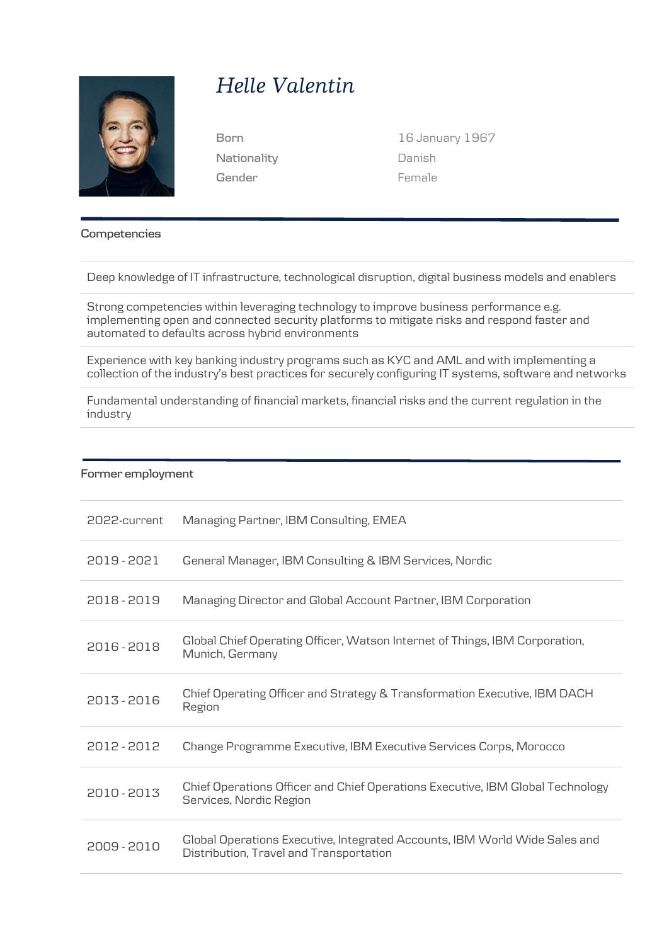

## *Helle Valentin*

**Nationality Gender**

**Born** 16 January 1967 Danish Female

**Competencies**

Deep knowledge of IT infrastructure, technological disruption, digital business models and enablers

Strong competencies within leveraging technology to improve business performance e.g. implementing open and connected security platforms to mitigate risks and respond faster and automated to defaults across hybrid environments

Experience with key banking industry programs such as KYC and AML and with implementing a collection of the industry's best practices for securely configuring IT systems, software and networks

Fundamental understanding of financial markets, financial risks and the current regulation in the industry

## **Former employment**

| 2022-current | Managing Partner, IBM Consulting, EMEA                                                                                |
|--------------|-----------------------------------------------------------------------------------------------------------------------|
| 2019 - 2021  | General Manager, IBM Consulting & IBM Services, Nordic                                                                |
| 2018 - 2019  | Managing Director and Global Account Partner, IBM Corporation                                                         |
| 2016 - 2018  | Global Chief Operating Officer, Watson Internet of Things, IBM Corporation,<br>Munich, Germany                        |
| 2013 - 2016  | Chief Operating Officer and Strategy & Transformation Executive, IBM DACH<br>Region                                   |
| 2012 - 2012  | Change Programme Executive, IBM Executive Services Corps, Morocco                                                     |
| 2010 - 2013  | Chief Operations Officer and Chief Operations Executive, IBM Global Technology<br>Services, Nordic Region             |
| 2009 - 2010  | Global Operations Executive, Integrated Accounts, IBM World Wide Sales and<br>Distribution, Travel and Transportation |